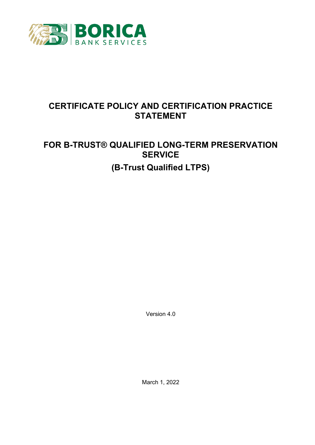

# **CERTIFICATE POLICY AND CERTIFICATION PRACTICE STATEMENT**

# **FOR B-TRUST® QUALIFIED LONG-TERM PRESERVATION SERVICE (B-Trust Qualified LTPS)**

Version 4.0

March 1, 2022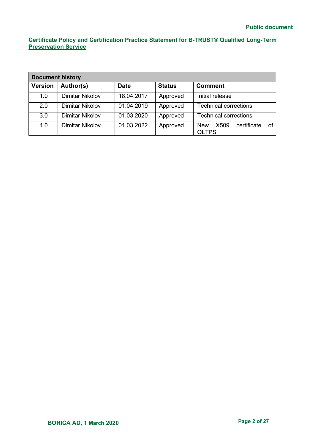| <b>Document history</b> |                 |             |               |                                                         |  |
|-------------------------|-----------------|-------------|---------------|---------------------------------------------------------|--|
| <b>Version</b>          | Author(s)       | <b>Date</b> | <b>Status</b> | <b>Comment</b>                                          |  |
| 1.0                     | Dimitar Nikolov | 18.04.2017  | Approved      | Initial release                                         |  |
| 2.0                     | Dimitar Nikolov | 01.04.2019  | Approved      | <b>Technical corrections</b>                            |  |
| 3.0                     | Dimitar Nikolov | 01.03.2020  | Approved      | <b>Technical corrections</b>                            |  |
| 4.0                     | Dimitar Nikolov | 01.03.2022  | Approved      | X509<br>certificate<br><b>New</b><br>οf<br><b>QLTPS</b> |  |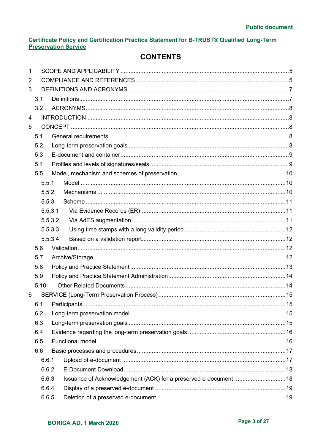# **CONTENTS**

| 1 |      |         |                                                                  |  |
|---|------|---------|------------------------------------------------------------------|--|
| 2 |      |         |                                                                  |  |
| 3 |      |         |                                                                  |  |
|   | 3.1  |         |                                                                  |  |
|   | 3.2  |         |                                                                  |  |
| 4 |      |         |                                                                  |  |
| 5 |      |         |                                                                  |  |
|   | 5.1  |         |                                                                  |  |
|   | 5.2  |         |                                                                  |  |
|   | 5.3  |         |                                                                  |  |
|   | 5.4  |         |                                                                  |  |
|   | 5.5  |         |                                                                  |  |
|   |      | 5.5.1   |                                                                  |  |
|   |      | 5.5.2   |                                                                  |  |
|   |      | 5.5.3   |                                                                  |  |
|   |      | 5.5.3.1 |                                                                  |  |
|   |      | 5.5.3.2 |                                                                  |  |
|   |      | 5.5.3.3 |                                                                  |  |
|   |      | 5.5.3.4 |                                                                  |  |
|   | 5.6  |         |                                                                  |  |
|   | 5.7  |         |                                                                  |  |
|   | 5.8  |         |                                                                  |  |
|   | 5.9  |         |                                                                  |  |
|   | 5.10 |         |                                                                  |  |
| 6 |      |         |                                                                  |  |
|   |      |         |                                                                  |  |
|   | 6.2  |         |                                                                  |  |
|   | 6.3  |         |                                                                  |  |
|   | 6.4  |         |                                                                  |  |
|   | 6.5  |         |                                                                  |  |
|   | 6.6  |         |                                                                  |  |
|   |      | 6.6.1   |                                                                  |  |
|   |      | 6.6.2   |                                                                  |  |
|   |      | 6.6.3   | Issuance of Acknowledgement (ACK) for a preserved e-document  18 |  |
|   |      | 6.6.4   |                                                                  |  |
|   |      | 6.6.5   |                                                                  |  |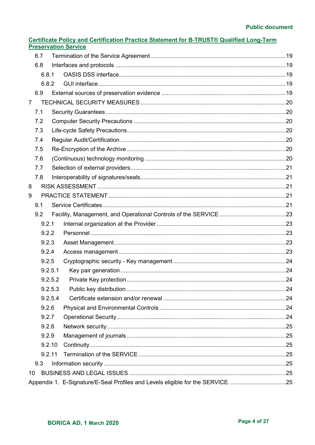|              | Certificate Policy and Certification Practice Statement for B-TRUST® Qualified Long-Term |
|--------------|------------------------------------------------------------------------------------------|
|              | <b>Preservation Service</b>                                                              |
| $\epsilon$ 7 | Tormination of the Convice Agrooment                                                     |

|                | 6.7    |         |                                                                                 |  |
|----------------|--------|---------|---------------------------------------------------------------------------------|--|
|                | 6.8    |         |                                                                                 |  |
|                | 6.8.1  |         |                                                                                 |  |
|                | 6.8.2  |         |                                                                                 |  |
|                | 6.9    |         |                                                                                 |  |
| $\overline{7}$ |        |         |                                                                                 |  |
|                | 7.1    |         |                                                                                 |  |
|                | 7.2    |         |                                                                                 |  |
|                | 7.3    |         |                                                                                 |  |
|                | 7.4    |         |                                                                                 |  |
|                | 7.5    |         |                                                                                 |  |
|                | 7.6    |         |                                                                                 |  |
|                | 7.7    |         |                                                                                 |  |
|                | 7.8    |         |                                                                                 |  |
| 8              |        |         |                                                                                 |  |
| 9              |        |         |                                                                                 |  |
|                | 9.1    |         |                                                                                 |  |
|                | 9.2    |         |                                                                                 |  |
|                | 9.2.1  |         |                                                                                 |  |
|                | 9.2.2  |         |                                                                                 |  |
|                | 9.2.3  |         |                                                                                 |  |
|                | 9.2.4  |         |                                                                                 |  |
|                | 9.2.5  |         |                                                                                 |  |
|                |        | 9.2.5.1 |                                                                                 |  |
|                |        | 9.2.5.2 |                                                                                 |  |
|                |        | 9.2.5.3 |                                                                                 |  |
|                |        | 9.2.5.4 |                                                                                 |  |
|                | 9.2.6  |         |                                                                                 |  |
|                | 9.2.7  |         |                                                                                 |  |
|                | 9.2.8  |         |                                                                                 |  |
|                | 9.2.9  |         |                                                                                 |  |
|                | 9.2.10 |         |                                                                                 |  |
|                | 9.2.11 |         |                                                                                 |  |
|                | 9.3    |         |                                                                                 |  |
| 10             |        |         |                                                                                 |  |
|                |        |         | Appendix 1. E-Signature/E-Seal Profiles and Levels eligible for the SERVICE. 25 |  |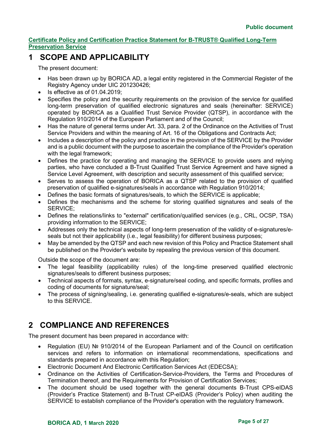# <span id="page-4-0"></span>**1 SCOPE AND APPLICABILITY**

The present document:

- Has been drawn up by BORICA AD, a legal entity registered in the Commercial Register of the Registry Agency under UIC 201230426;
- Is effective as of  $01.04.2019$ :
- Specifies the policy and the security requirements on the provision of the service for qualified long-term preservation of qualified electronic signatures and seals (hereinafter: SERVICE) operated by BORICA as a Qualified Trust Service Provider (QTSP), in accordance with the Regulation 910/2014 of the European Parliament and of the Council;
- Has the nature of general terms under Art. 33, para. 2 of the Ordinance on the Activities of Trust Service Providers and within the meaning of Art. 16 of the Obligations and Contracts Act;
- Includes a description of the policy and practice in the provision of the SERVICE by the Provider and is a public document with the purpose to ascertain the compliance of the Provider's operation with the legal framework:
- Defines the practice for operating and managing the SERVICE to provide users and relying parties, who have concluded a B-Trust Qualified Trust Service Agreement and have signed a Service Level Agreement, with description and security assessment of this qualified service;
- Serves to assess the operation of BORICA as a QTSP related to the provision of qualified preservation of qualified e-signatures/seals in accordance with Regulation 910/2014;
- Defines the basic formats of signatures/seals, to which the SERVICE is applicable;
- Defines the mechanisms and the scheme for storing qualified signatures and seals of the SERVICE;
- Defines the relations/links to "external" certification/qualified services (e.g., CRL, OCSP, TSA) providing information to the SERVICE;
- Addresses only the technical aspects of long-term preservation of the validity of e-signatures/eseals but not their applicability (i.e., legal feasibility) for different business purposes;
- May be amended by the QTSP and each new revision of this Policy and Practice Statement shall be published on the Provider's website by repealing the previous version of this document.

Outside the scope of the document are:

- The legal feasibility (applicability rules) of the long-time preserved qualified electronic signatures/seals to different business purposes;
- Technical aspects of formats, syntax, e-signature/seal coding, and specific formats, profiles and coding of documents for signature/seal;
- The process of signing/sealing, i.e. generating qualified e-signatures/e-seals, which are subject to this SERVICE.

# <span id="page-4-1"></span>**2 COMPLIANCE AND REFERENCES**

The present document has been prepared in accordance with:

- Regulation (EU) № 910/2014 of the European Parliament and of the Council on certification services and refers to information on international recommendations, specifications and standards prepared in accordance with this Regulation;
- Electronic Document And Electronic Certification Services Act (EDECSA);
- Ordinance on the Activities of Certification-Service-Providers, the Terms and Procedures of Termination thereof, and the Requirements for Provision of Certification Services;
- The document should be used together with the general documents B-Trust CPS-eIDAS (Provider's Practice Statement) and B-Trust CP-eIDAS (Provider's Policy) when auditing the SERVICE to establish compliance of the Provider's operation with the regulatory framework.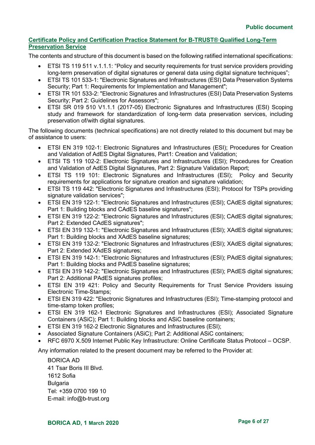The contents and structure of this document is based on the following ratified international specifications:

- ETSI TS 119 511 v.1.1.1: "Policy and security requirements for trust service providers providing long-term preservation of digital signatures or general data using digital signature techniques";
- ETSI TS 101 533-1: "Electronic Signatures and Infrastructures (ESI) Data Preservation Systems Security; Part 1: Requirements for Implementation and Management";
- ETSI TR 101 533-2: "Electronic Signatures and Infrastructures (ESI) Data Preservation Systems Security; Part 2: Guidelines for Assessors";
- ETSI SR 019 510 V1.1.1 (2017-05) Electronic Signatures and Infrastructures (ESI) Scoping study and framework for standardization of long-term data preservation services, including preservation of/with digital signatures.

The following documents (technical specifications) are not directly related to this document but may be of assistance to users:

- ETSI EN 319 102-1: Electronic Signatures and Infrastructures (ESI); Procedures for Creation and Validation of AdES Digital Signatures, Part1: Creation and Validation:
- ETSI TS 119 102-2: Electronic Signatures and Infrastructures (ESI); Procedures for Creation and Validation of AdES Digital Signatures, Part 2: Signature Validation Report;
- ETSI TS 119 101: Electronic Signatures and Infrastructures (ESI); Policy and Security requirements for applications for signature creation and signature validation;
- ETSI TS 119 442: "Electronic Signatures and Infrastructures (ESI); Protocol for TSPs providing signature validation services":
- ETSI EN 319 122-1: "Electronic Signatures and Infrastructures (ESI); CAdES digital signatures; Part 1: Building blocks and CAdES baseline signatures";
- ETSI EN 319 122-2: "Electronic Signatures and Infrastructures (ESI); CAdES digital signatures; Part 2: Extended CAdES signatures";
- ETSI EN 319 132-1: "Electronic Signatures and Infrastructures (ESI); XAdES digital signatures; Part 1: Building blocks and XAdES baseline signatures;
- ETSI EN 319 132-2: "Electronic Signatures and Infrastructures (ESI); XAdES digital signatures; Part 2: Extended XAdES signatures;
- ETSI EN 319 142-1: "Electronic Signatures and Infrastructures (ESI): PAdES digital signatures: Part 1: Building blocks and PAdES baseline signatures;
- ETSI EN 319 142-2: "Electronic Signatures and Infrastructures (ESI); PAdES digital signatures; Part 2: Additional PAdES signatures profiles;
- ETSI EN 319 421: Policy and Security Requirements for Trust Service Providers issuing Electronic Time-Stamps;
- ETSI EN 319 422: "Electronic Signatures and Infrastructures (ESI); Time-stamping protocol and time-stamp token profiles;
- ETSI EN 319 162-1 Electronic Signatures and Infrastructures (ESI); Associated Signature Containers (ASiC); Part 1: Building blocks and ASiC baseline containers;
- ETSI EN 319 162-2 Electronic Signatures and Infrastructures (ESI);
- Associated Signature Containers (ASiC); Part 2: Additional ASiC containers;
- RFC 6970 X.509 Internet Public Key Infrastructure: Online Certificate Status Protocol OCSP.

Any information related to the present document may be referred to the Provider at:

BORICA AD 41 Tsar Boris III Blvd. 1612 Sofia Bulgaria Tel: +359 0700 199 10 E-mail: [info@b-trust.org](mailto:info@b-trust.org)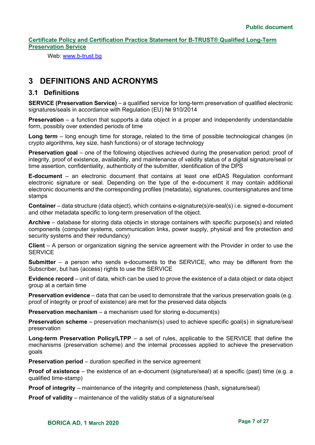Web: www.b-trust.bg

# <span id="page-6-0"></span>**3 DEFINITIONS AND ACRONYMS**

# <span id="page-6-1"></span>**3.1 Definitions**

**SERVICE (Preservation Service)** – a qualified service for long-term preservation of qualified electronic signatures/seals in accordance with Regulation (EU) № 910/2014

**Preservation** – a function that supports a data object in a proper and independently understandable form, possibly over extended periods of time

**Long term** – long enough time for storage, related to the time of possible technological changes (in crypto algorithms, key size, hash functions) or of storage technology

**Preservation goal** – one of the following objectives achieved during the preservation period: proof of integrity, proof of existence, availability, and maintenance of validity status of a digital signature/seal or time assertion, confidentiality, authenticity of the submitter, identification of the DPS

**E-document** – an electronic document that contains at least one eIDAS Regulation conformant electronic signature or seal. Depending on the type of the e-document it may contain additional electronic documents and the corresponding profiles (metadata), signatures, countersignatures and time stamps

**Container** – data structure (data object), which contains e-signature(s)/e-seal(s) i.e. signed e-document and other metadata specific to long-term preservation of the object.

**Archive** – database for storing data objects in storage containers with specific purpose(s) and related components (computer systems, communication links, power supply, physical and fire protection and security systems and their redundancy)

**Client** – A person or organization signing the service agreement with the Provider in order to use the **SERVICE** 

**Submitter** – a person who sends e-documents to the SERVICE, who may be different from the Subscriber, but has (access) rights to use the SERVICE

**Evidence record** – unit of data, which can be used to prove the existence of a data object or data object group at a certain time

**Preservation evidence** – data that can be used to demonstrate that the various preservation goals (e.g. proof of integrity or proof of existence) are met for the preserved data objects

**Preservation mechanism** – a mechanism used for storing e-document(s)

**Preservation scheme** – preservation mechanism(s) used to achieve specific goal(s) in signature/seal preservation

**Long-term Preservation Policy/LTPP** – a set of rules, applicable to the SERVICE that define the mechanisms (preservation scheme) and the internal processes applied to achieve the preservation goals

**Preservation period** – duration specified in the service agreement

**Proof of existence** – the existence of an e-document (signature/seal) at a specific (past) time (e.g. a qualified time-stamp)

**Proof of integrity** – maintenance of the integrity and completeness (hash, signature/seal)

**Proof of validity** – maintenance of the validity status of a signature/seal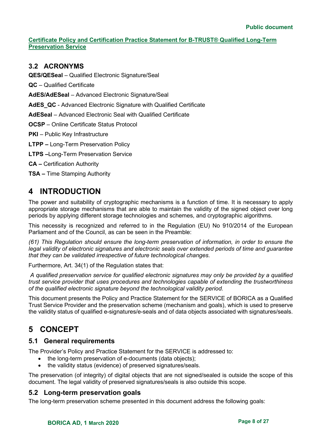# <span id="page-7-0"></span>**3.2 ACRONYMS**

**QES/QESeal** – Qualified Electronic Signature/Seal

**QC** – Qualified Certificate

**AdES/AdESeal** – Advanced Electronic Signature/Seal

**AdES\_QC** - Advanced Electronic Signature with Qualified Certificate

**AdESeal** – Advanced Electronic Seal with Qualified Certificate

**OCSP** – Online Certificate Status Protocol

**PKI** – Public Key Infrastructure

**LTPP –** Long-Term Preservation Policy

**LTPS –**Long-Term Preservation Service

**CA –** Certification Authority

**TSA –** Time Stamping Authority

# <span id="page-7-1"></span>**4 INTRODUCTION**

The power and suitability of cryptographic mechanisms is a function of time. It is necessary to apply appropriate storage mechanisms that are able to maintain the validity of the signed object over long periods by applying different storage technologies and schemes, and cryptographic algorithms.

This necessity is recognized and referred to in the Regulation (EU) No 910/2014 of the European Parliament and of the Council, as can be seen in the Preamble:

*(61) This Regulation should ensure the long-term preservation of information, in order to ensure the legal validity of electronic signatures and electronic seals over extended periods of time and guarantee that they can be validated irrespective of future technological changes.* 

Furthermore, Art. 34(1) of the Regulation states that:

*A qualified preservation service for qualified electronic signatures may only be provided by a qualified trust service provider that uses procedures and technologies capable of extending the trustworthiness of the qualified electronic signature beyond the technological validity period.* 

This document presents the Policy and Practice Statement for the SERVICE of BORICA as a Qualified Trust Service Provider and the preservation scheme (mechanism and goals), which is used to preserve the validity status of qualified e-signatures/e-seals and of data objects associated with signatures/seals.

# <span id="page-7-2"></span>**5 CONCEPT**

# <span id="page-7-3"></span>**5.1 General requirements**

The Provider's Policy and Practice Statement for the SERVICE is addressed to:

- the long-term preservation of e-documents (data objects);
- the validity status (evidence) of preserved signatures/seals.

The preservation (of integrity) of digital objects that are not signed/sealed is outside the scope of this document. The legal validity of preserved signatures/seals is also outside this scope.

# <span id="page-7-4"></span>**5.2 Long-term preservation goals**

The long-term preservation scheme presented in this document address the following goals: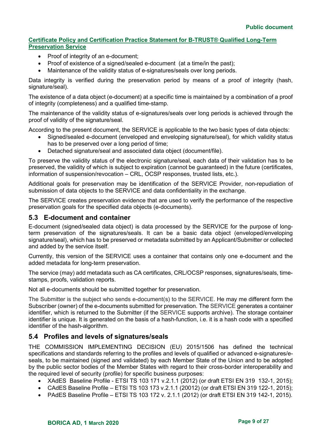- Proof of integrity of an e-document:
- Proof of existence of a signed/sealed e-document (at a time/in the past);
- Maintenance of the validity status of e-signatures/seals over long periods.

Data integrity is verified during the preservation period by means of a proof of integrity (hash, signature/seal).

The existence of a data object (e-document) at a specific time is maintained by a combination of a proof of integrity (completeness) and a qualified time-stamp.

The maintenance of the validity status of e-signatures/seals over long periods is achieved through the proof of validity of the signature/seal.

According to the present document, the SERVICE is applicable to the two basic types of data objects:

- Signed/sealed e-document (enveloped and enveloping signature/seal), for which validity status has to be preserved over a long period of time;
- Detached signature/seal and associated data object (document/file).

To preserve the validity status of the electronic signature/seal, each data of their validation has to be preserved, the validity of which is subject to expiration (cannot be guaranteed) in the future (certificates, information of suspension/revocation – CRL, OCSP responses, trusted lists, etc.).

Additional goals for preservation may be identification of the SERVICE Provider, non-repudiation of submission of data objects to the SERVICE and data confidentiality in the exchange.

The SERVICE creates preservation evidence that are used to verify the performance of the respective preservation goals for the specified data objects (e-documents).

# <span id="page-8-0"></span>**5.3 E-document and container**

E-document (signed/sealed data object) is data processed by the SERVICE for the purpose of longterm preservation of the signatures/seals. It can be a basic data object (enveloped/enveloping signature/seal), which has to be preserved or metadata submitted by an Applicant/Submitter or collected and added by the service itself.

Currently, this version of the SERVICE uses a container that contains only one e-document and the added metadata for long-term preservation.

The service (may) add metadata such as CA certificates, CRL/OCSP responses, signatures/seals, timestamps, proofs, validation reports.

Not all e-documents should be submitted together for preservation.

The Submitter is the subject who sends e-document(s) to the SERVICE. He may me different form the Subscriber (owner) of the e-documents submitted for preservation. The SERVICE generates a container identifier, which is returned to the Submitter (if the SERVICE supports archive). The storage container identifier is unique. It is generated on the basis of a hash-function, i.e. it is a hash code with a specified identifier of the hash-algorithm.

# <span id="page-8-1"></span>**5.4 Profiles and levels of signatures/seals**

THE COMMISSION IMPLEMENTING DECISION (EU) 2015/1506 has defined the technical specifications and standards referring to the profiles and levels of qualified or advanced e-signatures/eseals, to be maintained (signed and validated) by each Member State of the Union and to be adopted by the public sector bodies of the Member States with regard to their cross-border interoperability and the required level of security (profile) for specific business purposes:

- XAdES Baseline Profile ETSI TS 103 171 v.2.1.1 (2012) (or draft ETSI EN 319 132-1, 2015);
- CAdES Baseline Profile ETSI TS 103 173 v.2.1.1 (20012) (or draft ETSI EN 319 122-1, 2015);
- PAdES Baseline Profile ETSI TS 103 172 v. 2.1.1 (2012) (or draft ETSI EN 319 142-1, 2015).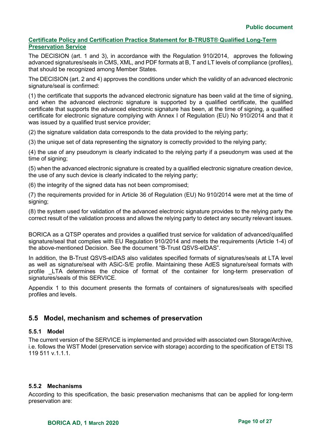The DECISION (art. 1 and 3), in accordance with the Regulation 910/2014, approves the following advanced signatures/seals in CMS, XML, and PDF formats at B, T and LT levels of compliance (profiles), that should be recognized among Member States.

The DECISION (art. 2 and 4) approves the conditions under which the validity of an advanced electronic signature/seal is confirmed:

(1) the certificate that supports the advanced electronic signature has been valid at the time of signing, and when the advanced electronic signature is supported by a qualified certificate, the qualified certificate that supports the advanced electronic signature has been, at the time of signing, a qualified certificate for electronic signature complying with Annex I of Regulation (EU) No 910/2014 and that it was issued by a qualified trust service provider;

(2) the signature validation data corresponds to the data provided to the relying party;

(3) the unique set of data representing the signatory is correctly provided to the relying party;

(4) the use of any pseudonym is clearly indicated to the relying party if a pseudonym was used at the time of signing;

(5) when the advanced electronic signature is created by a qualified electronic signature creation device, the use of any such device is clearly indicated to the relying party;

(6) the integrity of the signed data has not been compromised;

(7) the requirements provided for in Article 36 of Regulation (EU) No 910/2014 were met at the time of signing;

(8) the system used for validation of the advanced electronic signature provides to the relying party the correct result of the validation process and allows the relying party to detect any security relevant issues.

BORICA as a QTSP operates and provides a qualified trust service for validation of advanced/qualified signature/seal that complies with EU Regulation 910/2014 and meets the requirements (Article 1-4) of the above-mentioned Decision. See the document "B-Trust QSVS-eIDAS".

In addition, the B-Trust QSVS-eIDAS also validates specified formats of signatures/seals at LTA level as well as signature/seal with ASiC-S/E profile. Maintaining these AdES signature/seal formats with profile \_LTA determines the choice of format of the container for long-term preservation of signatures/seals of this SERVICE.

Appendix 1 to this document presents the formats of containers of signatures/seals with specified profiles and levels.

# <span id="page-9-0"></span>**5.5 Model, mechanism and schemes of preservation**

## <span id="page-9-1"></span>**5.5.1 Model**

The current version of the SERVICE is implemented and provided with associated own Storage/Archive, i.e. follows the WST Model (preservation service with storage) according to the specification of ETSI TS 119 511 v.1.1.1.

## <span id="page-9-2"></span>**5.5.2 Mechanisms**

According to this specification, the basic preservation mechanisms that can be applied for long-term preservation are: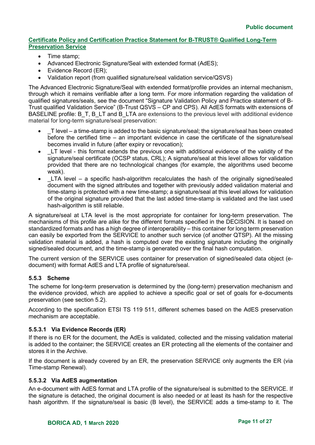- Time stamp;
- Advanced Electronic Signature/Seal with extended format (AdES);
- Evidence Record (ER);
- Validation report (from qualified signature/seal validation service/QSVS)

The Advanced Electronic Signature/Seal with extended format/profile provides an internal mechanism, through which it remains verifiable after a long term. For more information regarding the validation of qualified signatures/seals, see the document "Signature Validation Policy and Practice statement of B-Trust qualified Validation Service" (B-Trust QSVS – CP and CPS). All AdES formats with extensions of BASELINE profile: B\_T, B\_LT and B\_LTA are extensions to the previous level with additional evidence material for long-term signature/seal preservation:

- T level a time-stamp is added to the basic signature/seal; the signature/seal has been created before the certified time – an important evidence in case the certificate of the signature/seal becomes invalid in future (after expiry or revocation);
- LT level this format extends the previous one with additional evidence of the validity of the signature/seal certificate (OCSP status, CRL); A signature/seal at this level allows for validation provided that there are no technological changes (for example, the algorithms used become weak).
- LTA level a specific hash-algorithm recalculates the hash of the originally signed/sealed document with the signed attributes and together with previously added validation material and time-stamp is protected with a new time-stamp; a signature/seal at this level allows for validation of the original signature provided that the last added time-stamp is validated and the last used hash-algorithm is still reliable.

A signature/seal at LTA level is the most appropriate for container for long-term preservation. The mechanisms of this profile are alike for the different formats specified in the DECISION. It is based on standardized formats and has a high degree of interoperability – this container for long term preservation can easily be exported from the SERVICE to another such service (of another QTSP). All the missing validation material is added, a hash is computed over the existing signature including the originally signed/sealed document, and the time-stamp is generated over the final hash computation.

The current version of the SERVICE uses container for preservation of signed/sealed data object (edocument) with format AdES and LTA profile of signature/seal.

## <span id="page-10-0"></span>**5.5.3 Scheme**

The scheme for long-term preservation is determined by the (long-term) preservation mechanism and the evidence provided, which are applied to achieve a specific goal or set of goals for e-documents preservation (see section 5.2).

According to the specification ETSI TS 119 511, different schemes based on the AdES preservation mechanism are acceptable.

## <span id="page-10-1"></span>**5.5.3.1 Via Evidence Records (ER)**

If there is no ER for the document, the AdEs is validated, collected and the missing validation material is added to the container; the SERVICE creates an ER protecting all the elements of the container and stores it in the Archive.

If the document is already covered by an ER, the preservation SERVICE only augments the ER (via Time-stamp Renewal).

#### <span id="page-10-2"></span>**5.5.3.2 Via AdES augmentation**

An e-document with AdES format and LTA profile of the signature/seal is submitted to the SERVICE. If the signature is detached, the original document is also needed or at least its hash for the respective hash algorithm. If the signature/seal is basic (B level), the SERVICE adds a time-stamp to it. The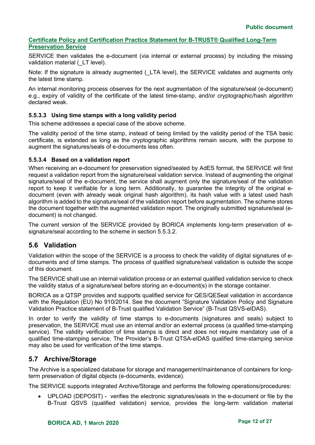SERVICE then validates the e-document (via internal or external process) by including the missing validation material (LT level).

Note: If the signature is already augmented (LTA level), the SERVICE validates and augments only the latest time stamp.

An internal monitoring process observes for the next augmentation of the signature/seal (e-document) e.g., expiry of validity of the certificate of the latest time-stamp, and/or cryptographic/hash algorithm declared weak.

# <span id="page-11-0"></span>**5.5.3.3 Using time stamps with a long validity period**

This scheme addresses a special case of the above scheme.

The validity period of the time stamp, instead of being limited by the validity period of the TSA basic certificate, is extended as long as the cryptographic algorithms remain secure, with the purpose to augment the signatures/seals of e-documents less often.

## <span id="page-11-1"></span>**5.5.3.4 Based on a validation report**

When receiving an e-document for preservation signed/sealed by AdES format, the SERVICE will first request a validation report from the signature/seal validation service. Instead of augmenting the original signature/seal of the e-document, the service shall augment only the signature/seal of the validation report to keep it verifiable for a long term. Additionally, to guarantee the integrity of the original edocument (even with already weak original hash algorithm), its hash value with a latest used hash algorithm is added to the signature/seal of the validation report before augmentation. The scheme stores the document together with the augmented validation report. The originally submitted signature/seal (edocument) is not changed.

The current version of the SERVICE provided by BORICA implements long-term preservation of esignature/seal according to the scheme in section 5.5.3.2.

# <span id="page-11-2"></span>**5.6 Validation**

Validation within the scope of the SERVICE is a process to check the validity of digital signatures of edocuments and of time stamps. The process of qualified signature/seal validation is outside the scope of this document.

The SERVICE shall use an internal validation process or an external qualified validation service to check the validity status of a signature/seal before storing an e-document(s) in the storage container.

BORICA as a QTSP provides and supports qualified service for QES/QESeal validation in accordance with the Regulation (EU) No 910/2014. See the document "Signature Validation Policy and Signature Validation Practice statement of B-Trust qualified Validation Service" (B-Trust QSVS-eIDAS).

In order to verify the validity of time stamps to e-documents (signatures and seals) subject to preservation, the SERVICE must use an internal and/or an external process (a qualified time-stamping service). The validity verification of time stamps is direct and does not require mandatory use of a qualified time-stamping service. The Provider's B-Trust QTSA-eIDAS qualified time-stamping service may also be used for verification of the time stamps.

# <span id="page-11-3"></span>**5.7 Archive/Storage**

The Archive is a specialized database for storage and management/maintenance of containers for longterm preservation of digital objects (e-documents, evidence).

The SERVICE supports integrated Archive/Storage and performs the following operations/procedures:

• UPLOAD (DEPOSIT) - verifies the electronic signatures/seals in the e-document or file by the B-Trust QSVS (qualified validation) service, provides the long-term validation material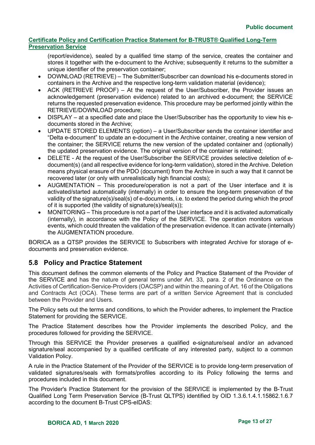(report/evidence), sealed by a qualified time stamp of the service, creates the container and stores it together with the e-document to the Archive; subsequently it returns to the submitter a unique identifier of the preservation container;

- DOWNLOAD (RETRIEVE) The Submitter/Subscriber can download his e-documents stored in containers in the Archive and the respective long-term validation material (evidence);
- ACK (RETRIEVE PROOF) At the request of the User/Subscriber, the Provider issues an acknowledgement (preservation evidence) related to an archived e-document; the SERVICE returns the requested preservation evidence. This procedure may be performed jointly within the RETRIEVE/DOWNLOAD procedure;
- DISPLAY at a specified date and place the User/Subscriber has the opportunity to view his edocuments stored in the Archive;
- UPDATE STORED ELEMENTS (option) a User/Subscriber sends the container identifier and "Delta e-document" to update an e-document in the Archive container, creating a new version of the container; the SERVICE returns the new version of the updated container and (optionally) the updated preservation evidence. The original version of the container is retained;
- DELETE At the request of the User/Subscriber the SERVICE provides selective deletion of edocument(s) (and all respective evidence for long-term validation), stored in the Archive. Deletion means physical erasure of the PDO (document) from the Archive in such a way that it cannot be recovered later (or only with unrealistically high financial costs);
- AUGMENTATION This procedure/operation is not a part of the User interface and it is activated/started automatically (internally) in order to ensure the long-term preservation of the validity of the signature(s)/seal(s) of e-documents, i.e. to extend the period during which the proof of it is supported (the validity of signature(s)/seal(s));
- MONITORING This procedure is not a part of the User interface and it is activated automatically (internally), in accordance with the Policy of the SERVICE. The operation monitors various events, which could threaten the validation of the preservation evidence. It can activate (internally) the AUGMENTATION procedure.

BORICA as a QTSP provides the SERVICE to Subscribers with integrated Archive for storage of edocuments and preservation evidence.

# <span id="page-12-0"></span>**5.8 Policy and Practice Statement**

This document defines the common elements of the Policy and Practice Statement of the Provider of the SERVICE and has the nature of general terms under Art. 33, para. 2 of the Ordinance on the Activities of Certification-Service-Providers (OACSP) and within the meaning of Art. 16 of the Obligations and Contracts Act (OCA). These terms are part of a written Service Agreement that is concluded between the Provider and Users.

The Policy sets out the terms and conditions, to which the Provider adheres, to implement the Practice Statement for providing the SERVICE.

The Practice Statement describes how the Provider implements the described Policy, and the procedures followed for providing the SERVICE.

Through this SERVICE the Provider preserves a qualified e-signature/seal and/or an advanced signature/seal accompanied by a qualified certificate of any interested party, subject to a common Validation Policy.

A rule in the Practice Statement of the Provider of the SERVICE is to provide long-term preservation of validated signatures/seals with formats/profiles according to its Policy following the terms and procedures included in this document.

The Provider's Practice Statement for the provision of the SERVICE is implemented by the B-Trust Qualified Long Term Preservation Service (B-Trust QLTPS) identified by OID 1.3.6.1.4.1.15862.1.6.7 according to the document B-Trust CPS-eIDAS: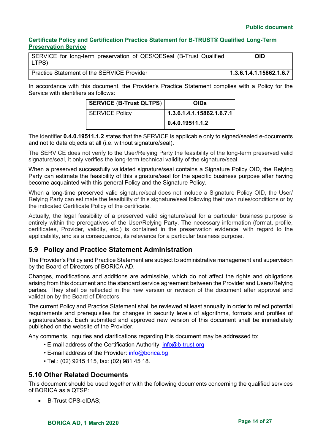## **Public document**

# **Certificate Policy and Certification Practice Statement for B-TRUST® Qualified Long-Term Preservation Service**

| SERVICE for long-term preservation of QES/QESeal (B-Trust Qualified<br>LTPS) | OID                     |
|------------------------------------------------------------------------------|-------------------------|
| <b>Practice Statement of the SERVICE Provider</b>                            | 1.3.6.1.4.1.15862.1.6.7 |

In accordance with this document, the Provider's Practice Statement complies with a Policy for the Service with identifiers as follows:

| <b>SERVICE (B-Trust QLTPS)</b> | <b>OIDs</b>               |
|--------------------------------|---------------------------|
| <b>SERVICE Policy</b>          | 1.3.6.1.4.1.15862.1.6.7.1 |
|                                | 0.4.0.19511.1.2           |

The identifier **0.4.0.19511.1.2** states that the SERVICE is applicable only to signed/sealed e-documents and not to data objects at all (i.e. without signature/seal).

The SERVICE does not verify to the User/Relying Party the feasibility of the long-term preserved valid signature/seal, it only verifies the long-term technical validity of the signature/seal.

When a preserved successfully validated signature/seal contains a Signature Policy OID, the Relying Party can estimate the feasibility of this signature/seal for the specific business purpose after having become acquainted with this general Policy and the Signature Policy.

When a long-time preserved valid signature/seal does not include a Signature Policy OID, the User/ Relying Party can estimate the feasibility of this signature/seal following their own rules/conditions or by the indicated Certificate Policy of the certificate.

Actually, the legal feasibility of a preserved valid signature/seal for a particular business purpose is entirely within the prerogatives of the User/Relying Party. The necessary information (format, profile, certificates, Provider, validity, etc.) is contained in the preservation evidence, with regard to the applicability, and as a consequence, its relevance for a particular business purpose.

# <span id="page-13-0"></span>**5.9 Policy and Practice Statement Administration**

The Provider's Policy and Practice Statement are subject to administrative management and supervision by the Board of Directors of BORICA AD.

Changes, modifications and additions are admissible, which do not affect the rights and obligations arising from this document and the standard service agreement between the Provider and Users/Relying parties. They shall be reflected in the new version or revision of the document after approval and validation by the Board of Directors.

The current Policy and Practice Statement shall be reviewed at least annually in order to reflect potential requirements and prerequisites for changes in security levels of algorithms, formats and profiles of signatures/seals. Each submitted and approved new version of this document shall be immediately published on the website of the Provider.

Any comments, inquiries and clarifications regarding this document may be addressed to:

- E-mail address of the Certification Authority: [info@b-trust.org](mailto:info@b-trust.org)
- E-mail address of the Provider: [info@borica.bg](mailto:info@borica.bg)
- Tel.: (02) 9215 115, fax: (02) 981 45 18.

# <span id="page-13-1"></span>**5.10 Other Related Documents**

This document should be used together with the following documents concerning the qualified services of BORICA as a QTSP:

• B-Trust CPS-eIDAS;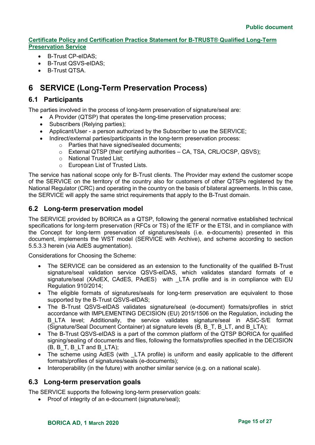- B-Trust CP-eIDAS;
- B-Trust QSVS-eIDAS;
- B-Trust QTSA.

# <span id="page-14-0"></span>**6 SERVICE (Long-Term Preservation Process)**

# <span id="page-14-1"></span>**6.1 Participants**

The parties involved in the process of long-term preservation of signature/seal are:

- A Provider (QTSP) that operates the long-time preservation process;
- Subscribers (Relying parties);
- Applicant/User a person authorized by the Subscriber to use the SERVICE;
	- Indirect/external parties/participants in the long-term preservation process:
		- o Parties that have signed/sealed documents;
			- o External QTSP (their certifying authorities CA, TSA, CRL/OCSP, QSVS);
			- o National Trusted List;
			- o European List of Trusted Lists.

The service has national scope only for B-Trust clients. The Provider may extend the customer scope of the SERVICE on the territory of the country also for customers of other QTSPs registered by the National Regulator (CRC) and operating in the country on the basis of bilateral agreements. In this case, the SERVICE will apply the same strict requirements that apply to the B-Trust domain.

# <span id="page-14-2"></span>**6.2 Long-term preservation model**

The SERVICE provided by BORICA as a QTSP, following the general normative established technical specifications for long-term preservation (RFCs or TS) of the IETF or the ETSI, and in compliance with the Concept for long-term preservation of signatures/seals (i.e. e-documents) presented in this document, implements the WST model (SERVICE with Archive), and scheme according to section 5.5.3.3 herein (via AdES augmentation).

Considerations for Choosing the Scheme:

- The SERVICE can be considered as an extension to the functionality of the qualified B-Trust signature/seal validation service QSVS-eIDAS, which validates standard formats of e signature/seal (XAdEX, CAdES, PAdES) with LTA profile and is in compliance with EU Regulation 910/2014;
- The eligible formats of signatures/seals for long-term preservation are equivalent to those supported by the B-Trust QSVS-eIDAS;
- The B-Trust QSVS-eIDAS validates signature/seal (e-document) formats/profiles in strict accordance with IMPLEMENTING DECISION (EU) 2015/1506 on the Regulation, including the B\_LTA level; Additionally, the service validates signature/seal in ASiC-S/E format (Signature/Seal Document Container) at signature levels (B, B\_T, B\_LT, and B\_LTA);
- The B-Trust QSVS-eIDAS is a part of the common platform of the QTSP BORICA for qualified signing/sealing of documents and files, following the formats/profiles specified in the DECISION  $(B, B_T, B_LT)$  and B LTA);
- The scheme using AdES (with LTA profile) is uniform and easily applicable to the different formats/profiles of signatures/seals (e-documents);
- Interoperability (in the future) with another similar service (e.g. on a national scale).

# <span id="page-14-3"></span>**6.3 Long-term preservation goals**

The SERVICE supports the following long-term preservation goals:

• Proof of integrity of an e-document (signature/seal);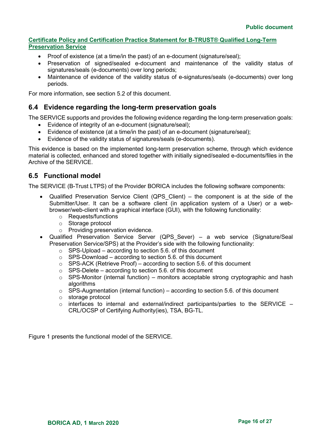- Proof of existence (at a time/in the past) of an e-document (signature/seal);
- Preservation of signed/sealed e-document and maintenance of the validity status of signatures/seals (e-documents) over long periods;
- Maintenance of evidence of the validity status of e-signatures/seals (e-documents) over long periods.

For more information, see section 5.2 of this document.

# <span id="page-15-0"></span>**6.4 Evidence regarding the long-term preservation goals**

The SERVICE supports and provides the following evidence regarding the long-term preservation goals:

- Evidence of integrity of an e-document (signature/seal);
- Evidence of existence (at a time/in the past) of an e-document (signature/seal);
- Evidence of the validity status of signatures/seals (e-documents).

This evidence is based on the implemented long-term preservation scheme, through which evidence material is collected, enhanced and stored together with initially signed/sealed e-documents/files in the Archive of the SERVICE.

# <span id="page-15-1"></span>**6.5 Functional model**

The SERVICE (B-Trust LTPS) of the Provider BORICA includes the following software components:

- Qualified Preservation Service Client (QPS Client) the component is at the side of the Submitter/User. It can be a software client (in application system of a User) or a webbrowser/web-client with a graphical interface (GUI), with the following functionality:
	- o Requests/functions
	- o Storage protocol
	- o Providing preservation evidence.
- Qualified Preservation Service Server (QPS Sever) a web service (Signature/Seal Preservation Service/SPS) at the Provider's side with the following functionality:
	- $\circ$  SPS-Upload according to section 5.6. of this document
	- o SPS-Download according to section 5.6. of this document
	- $\circ$  SPS-ACK (Retrieve Proof) according to section 5.6. of this document
	- $\circ$  SPS-Delete according to section 5.6. of this document
	- $\circ$  SPS-Monitor (internal function) monitors acceptable strong cryptographic and hash algorithms
	- $\circ$  SPS-Augmentation (internal function) according to section 5.6. of this document
	- o storage protocol
	- $\circ$  interfaces to internal and external/indirect participants/parties to the SERVICE CRL/OCSP of Certifying Authority(ies), TSA, BG-TL.

Figure 1 presents the functional model of the SERVICE.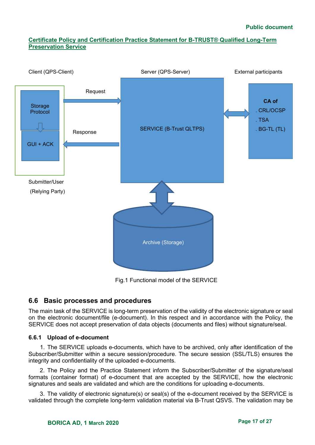

<span id="page-16-0"></span>**6.6 Basic processes and procedures** 

The main task of the SERVICE is long-term preservation of the validity of the electronic signature or seal on the electronic document/file (e-document). In this respect and in accordance with the Policy, the SERVICE does not accept preservation of data objects (documents and files) without signature/seal.

## <span id="page-16-1"></span>**6.6.1 Upload of e-document**

1. The SERVICE uploads e-documents, which have to be archived, only after identification of the Subscriber/Submitter within a secure session/procedure. The secure session (SSL/TLS) ensures the integrity and confidentiality of the uploaded e-documents.

2. The Policy and the Practice Statement inform the Subscriber/Submitter of the signature/seal formats (container format) of e-document that are accepted by the SERVICE, how the electronic signatures and seals are validated and which are the conditions for uploading e-documents.

3. The validity of electronic signature(s) or seal(s) of the e-document received by the SERVICE is validated through the complete long-term validation material via B-Trust QSVS. The validation may be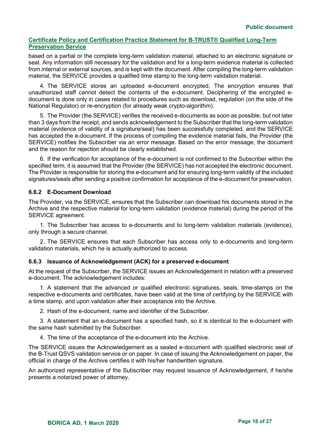based on a partial or the complete long-term validation material, attached to an electronic signature or seal. Any information still necessary for the validation and for a long-term evidence material is collected from internal or external sources, and is kept with the document. After compiling the long-term validation material, the SERVICE provides a qualified time stamp to the long-term validation material.

4. The SERVICE stores an uploaded e-document encrypted. The encryption ensures that unauthorized staff cannot detect the contents of the e-document. Deciphering of the encrypted edocument is done only in cases related to procedures such as download, regulation (on the side of the National Regulator) or re-encryption (for already weak crypto-algorithm).

5. The Provider (the SERVICE) verifies the received e-documents as soon as possible, but not later than 3 days from the receipt, and sends acknowledgement to the Subscriber that the long-term validation material (evidence of validity of a signature/seal) has been successfully completed, and the SERVICE has accepted the e-document. If the process of compiling the evidence material fails, the Provider (the SERVICE) notifies the Subscriber via an error message. Based on the error message, the document and the reason for rejection should be clearly established.

6. If the verification for acceptance of the e-document is not confirmed to the Subscriber within the specified term, it is assumed that the Provider (the SERVICE) has not accepted the electronic document. The Provider is responsible for storing the e-document and for ensuring long-term validity of the included signatures/seals after sending a positive confirmation for acceptance of the e-document for preservation.

## <span id="page-17-0"></span>**6.6.2 E-Document Download**

The Provider, via the SERVICE, ensures that the Subscriber can download his documents stored in the Archive and the respective material for long-term validation (evidence material) during the period of the SERVICE agreement.

1. The Subscriber has access to e-documents and to long-term validation materials (evidence), only through a secure channel.

2. The SERVICE ensures that each Subscriber has access only to e-documents and long-term validation materials, which he is actually authorized to access.

## <span id="page-17-1"></span>**6.6.3 Issuance of Acknowledgement (ACK) for a preserved e-document**

At the request of the Subscriber, the SERVICE issues an Acknowledgement in relation with a preserved e-document. The acknowledgement includes:

1. A statement that the advanced or qualified electronic signatures, seals, time-stamps on the respective e-documents and certificates, have been valid at the time of certifying by the SERVICE with a time stamp, and upon validation after their acceptance into the Archive.

2. Hash of the e-document, name and identifier of the Subscriber.

3. A statement that an e-document has a specified hash, so it is identical to the e-document with the same hash submitted by the Subscriber.

4. The time of the acceptance of the e-document into the Archive.

The SERVICE issues the Acknowledgement as a sealed e-document with qualified electronic seal of the B-Trust QSVS validation service or on paper. In case of issuing the Acknowledgement on paper, the official in charge of the Archive certifies it with his/her handwritten signature.

An authorized representative of the Subscriber may request issuance of Acknowledgement, if he/she presents a notarized power of attorney.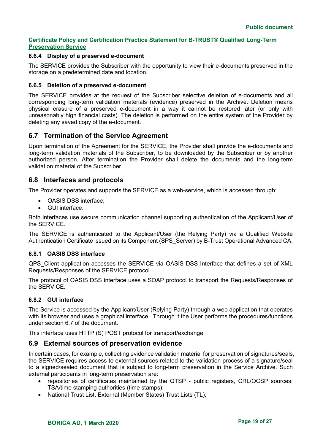# <span id="page-18-0"></span>**6.6.4 Display of a preserved e-document**

The SERVICE provides the Subscriber with the opportunity to view their e-documents preserved in the storage on a predetermined date and location.

#### <span id="page-18-1"></span>**6.6.5 Deletion of a preserved e-document**

The SERVICE provides at the request of the Subscriber selective deletion of e-documents and all corresponding long-term validation materials (evidence) preserved in the Archive. Deletion means physical erasure of a preserved e-document in a way it cannot be restored later (or only with unreasonably high financial costs). The deletion is performed on the entire system of the Provider by deleting any saved copy of the e-document.

# <span id="page-18-2"></span>**6.7 Termination of the Service Agreement**

Upon termination of the Agreement for the SERVICE, the Provider shall provide the e-documents and long-term validation materials of the Subscriber, to be downloaded by the Subscriber or by another authorized person. After termination the Provider shall delete the documents and the long-term validation material of the Subscriber.

# <span id="page-18-3"></span>**6.8 Interfaces and protocols**

The Provider operates and supports the SERVICE as a web-service, which is accessed through:

- OASIS DSS interface;
- GUI interface.

Both interfaces use secure communication channel supporting authentication of the Applicant/User of the SERVICE.

The SERVICE is authenticated to the Applicant/User (the Relying Party) via a Qualified Website Authentication Certificate issued on its Component (SPS\_Server) by B-Trust Operational Advanced CA.

## <span id="page-18-4"></span>**6.8.1 OASIS DSS interface**

QPS\_Client application accesses the SERVICE via OASIS DSS Interface that defines a set of XML Requests/Responses of the SERVICE protocol.

The protocol of OASIS DSS interface uses a SOAP protocol to transport the Requests/Responses of the SERVICE.

## <span id="page-18-5"></span>**6.8.2 GUI interface**

The Service is accessed by the Applicant/User (Relying Party) through a web application that operates with its browser and uses a graphical interface. Through it the User performs the procedures/functions under section 6.7 of the document.

This interface uses HTTP (S) POST protocol for transport/exchange.

# <span id="page-18-6"></span>**6.9 External sources of preservation evidence**

In certain cases, for example, collecting evidence validation material for preservation of signatures/seals, the SERVICE requires access to external sources related to the validation process of a signature/seal to a signed/sealed document that is subject to long-term preservation in the Service Archive. Such external participants in long-term preservation are:

- repositories of certificates maintained by the QTSP public registers, CRL/OCSP sources; TSA/time stamping authorities (time stamps);
- National Trust List, External (Member States) Trust Lists (TL);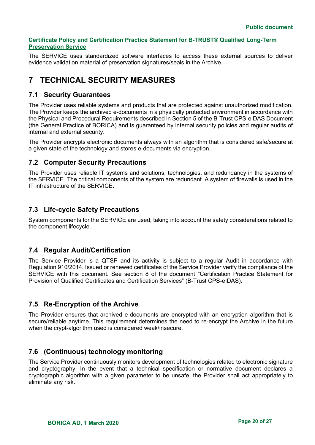The SERVICE uses standardized software interfaces to access these external sources to deliver evidence validation material of preservation signatures/seals in the Archive.

# <span id="page-19-0"></span>**7 TECHNICAL SECURITY MEASURES**

# <span id="page-19-1"></span>**7.1 Security Guarantees**

The Provider uses reliable systems and products that are protected against unauthorized modification. The Provider keeps the archived e-documents in a physically protected environment in accordance with the Physical and Procedural Requirements described in Section 5 of the B-Trust CPS-eIDAS Document (the General Practice of BORICA) and is guaranteed by internal security policies and regular audits of internal and external security.

The Provider encrypts electronic documents always with an algorithm that is considered safe/secure at a given state of the technology and stores e-documents via encryption.

# <span id="page-19-2"></span>**7.2 Computer Security Precautions**

The Provider uses reliable IT systems and solutions, technologies, and redundancy in the systems of the SERVICE. The critical components of the system are redundant. A system of firewalls is used in the IT infrastructure of the SERVICE.

# <span id="page-19-3"></span>**7.3 Life-cycle Safety Precautions**

System components for the SERVICE are used, taking into account the safety considerations related to the component lifecycle.

# <span id="page-19-4"></span>**7.4 Regular Audit/Certification**

The Service Provider is a QTSP and its activity is subject to a regular Audit in accordance with Regulation 910/2014. Issued or renewed certificates of the Service Provider verify the compliance of the SERVICE with this document. See section 8 of the document "Certification Practice Statement for Provision of Qualified Certificates and Certification Services" (B-Trust CPS-eIDAS).

# <span id="page-19-5"></span>**7.5 Re-Encryption of the Archive**

The Provider ensures that archived e-documents are encrypted with an encryption algorithm that is secure/reliable anytime. This requirement determines the need to re-encrypt the Archive in the future when the crypt-algorithm used is considered weak/insecure.

# <span id="page-19-6"></span>**7.6 (Continuous) technology monitoring**

The Service Provider continuously monitors development of technologies related to electronic signature and cryptography. In the event that a technical specification or normative document declares a cryptographic algorithm with a given parameter to be unsafe, the Provider shall act appropriately to eliminate any risk.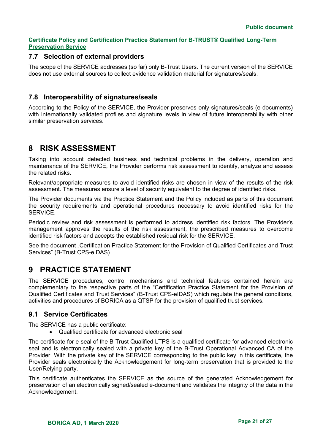# <span id="page-20-0"></span>**7.7 Selection of external providers**

The scope of the SERVICE addresses (so far) only B-Trust Users. The current version of the SERVICE does not use external sources to collect evidence validation material for signatures/seals.

# <span id="page-20-1"></span>**7.8 Interoperability of signatures/seals**

According to the Policy of the SERVICE, the Provider preserves only signatures/seals (e-documents) with internationally validated profiles and signature levels in view of future interoperability with other similar preservation services.

# <span id="page-20-2"></span>**8 RISK ASSESSMENT**

Taking into account detected business and technical problems in the delivery, operation and maintenance of the SERVICE, the Provider performs risk assessment to identify, analyze and assess the related risks.

Relevant/appropriate measures to avoid identified risks are chosen in view of the results of the risk assessment. The measures ensure a level of security equivalent to the degree of identified risks.

The Provider documents via the Practice Statement and the Policy included as parts of this document the security requirements and operational procedures necessary to avoid identified risks for the **SERVICE** 

Periodic review and risk assessment is performed to address identified risk factors. The Provider's management approves the results of the risk assessment, the prescribed measures to overcome identified risk factors and accepts the established residual risk for the SERVICE.

See the document "Certification Practice Statement for the Provision of Qualified Certificates and Trust Services" (B-Trust CPS-eIDAS).

# <span id="page-20-3"></span>**9 PRACTICE STATEMENT**

The SERVICE procedures, control mechanisms and technical features contained herein are complementary to the respective parts of the "Certification Practice Statement for the Provision of Qualified Certificates and Trust Services" (B-Trust CPS-eIDAS) which regulate the general conditions, activities and procedures of BORICA as a QTSP for the provision of qualified trust services.

# <span id="page-20-4"></span>**9.1 Service Certificates**

The SERVICE has a public certificate:

• Qualified certificate for advanced electronic seal

The certificate for e-seal of the B-Trust Qualified LTPS is a qualified certificate for advanced electronic seal and is electronically sealed with a private key of the B-Trust Operational Advanced CA of the Provider. With the private key of the SERVICE corresponding to the public key in this certificate, the Provider seals electronically the Acknowledgement for long-term preservation that is provided to the User/Relying party.

This certificate authenticates the SERVICE as the source of the generated Acknowledgement for preservation of an electronically signed/sealed e-document and validates the integrity of the data in the Acknowledgement.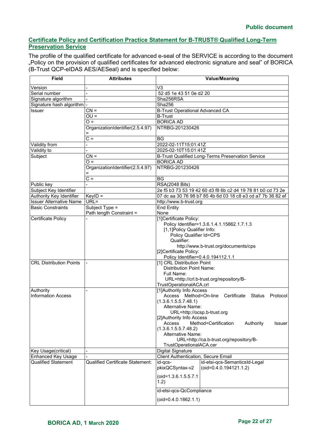The profile of the qualified certificate for advanced e-seal of the SERVICE is according to the document "Policy on the provision of qualified certificates for advanced electronic signature and seal" of BORICA (B-Trust QCP-eIDAS AES/AESeal) and is specified below:

| <b>Field</b>                                               | <b>Attributes</b>                          | <b>Value/Meaning</b>                                                                    |  |
|------------------------------------------------------------|--------------------------------------------|-----------------------------------------------------------------------------------------|--|
| Version                                                    |                                            | V <sub>3</sub>                                                                          |  |
| Serial number                                              |                                            | 52 d5 1e 43 51 0e d2 20                                                                 |  |
| Signature algorithm                                        |                                            | Sha256RSA                                                                               |  |
| Signature hash algorithm                                   |                                            | Sha256                                                                                  |  |
| <b>Issuer</b>                                              | $CN =$                                     | <b>B-Trust Operational Advanced CA</b>                                                  |  |
|                                                            | $OU =$                                     | <b>B-Trust</b>                                                                          |  |
|                                                            | $Q =$                                      | <b>BORICA AD</b>                                                                        |  |
|                                                            | OrganizationIdentifier(2.5.4.97)           | NTRBG-201230426                                                                         |  |
|                                                            | Ξ                                          |                                                                                         |  |
|                                                            | $C =$                                      | <b>BG</b>                                                                               |  |
| Validity from                                              |                                            | 2022-02-11T15:01:41Z                                                                    |  |
| Validity to                                                |                                            | 2025-02-10T15:01:41Z                                                                    |  |
| Subject                                                    | $CN =$                                     | B-Trust Qualified Long-Terms Preservation Service                                       |  |
|                                                            | $O =$                                      | <b>BORICA AD</b>                                                                        |  |
|                                                            | OrganizationIdentifier(2.5.4.97)           | NTRBG-201230426                                                                         |  |
|                                                            |                                            |                                                                                         |  |
|                                                            | $rac{}{C}$                                 | <b>BG</b>                                                                               |  |
| Public key                                                 |                                            | <b>RSA(2048 Bits)</b>                                                                   |  |
| Subject Key Identifier                                     |                                            | 2e f5 b3 73 53 19 42 60 d3 f8 6b c2 d4 19 78 81 b0 cd 73 2e                             |  |
| Authority Key Identifier                                   | $KeyID =$                                  | 07 dc aa 30 76 98 b7 85 4b 6d 03 18 c8 e3 cd a7 7b 36 82 ef                             |  |
| <b>Issuer Alternative Name</b><br><b>Basic Constraints</b> | $URL =$                                    | http://www.b-trust.org                                                                  |  |
|                                                            | Subject Type =<br>Path length Constraint = | <b>End Entity</b><br>None                                                               |  |
| Certificate Policy                                         |                                            | [1]Certificate Policy:                                                                  |  |
|                                                            |                                            | Policy Identifier=1.3.6.1.4.1.15862.1.7.1.3                                             |  |
|                                                            |                                            | [1,1]Policy Qualifier Info:                                                             |  |
|                                                            |                                            | Policy Qualifier Id=CPS                                                                 |  |
|                                                            |                                            | Qualifier:                                                                              |  |
|                                                            |                                            | http://www.b-trust.org/documents/cps                                                    |  |
|                                                            |                                            | [2]Certificate Policy:                                                                  |  |
|                                                            |                                            | Policy Identifier=0.4.0.194112.1.1                                                      |  |
| <b>CRL Distribution Points</b>                             |                                            | [1] CRL Distribution Point                                                              |  |
|                                                            |                                            | <b>Distribution Point Name:</b>                                                         |  |
|                                                            |                                            | Full Name:                                                                              |  |
|                                                            |                                            | URL=http://crl.b-trust.org/repository/B-                                                |  |
|                                                            |                                            | TrustOperationalACA.crl                                                                 |  |
| Authority                                                  |                                            | [1]Authority Info Access                                                                |  |
| <b>Information Access</b>                                  |                                            | Access Method=On-line Certificate<br>Status<br>Protocol                                 |  |
|                                                            |                                            | (1.3.6.1.5.5.7.48.1)<br>Alternative Name:                                               |  |
|                                                            |                                            | URL=http://ocsp.b-trust.org                                                             |  |
|                                                            |                                            | [2]Authority Info Access                                                                |  |
|                                                            |                                            | Access<br>Method=Certification<br>Authority<br>Issuer                                   |  |
|                                                            |                                            | (1.3.6.1.5.5.7.48.2)                                                                    |  |
|                                                            |                                            | Alternative Name:                                                                       |  |
|                                                            |                                            | URL=http://ca.b-trust.org/repository/B-                                                 |  |
|                                                            |                                            | TrustOperationalACA.cer                                                                 |  |
| Key Usage(critical)                                        |                                            | <b>Digital Signature</b>                                                                |  |
| <b>Enhanced Key Usage</b>                                  |                                            | Client Authentication, Secure Email                                                     |  |
| <b>Qualified Statement</b>                                 | Qualified Certificate Statement:           | id-etsi-qcs-SemanticsId-Legal<br>id-qcs-<br>pkixQCSyntax-v2<br>$(oid=0.4.0.194121.1.2)$ |  |
|                                                            |                                            |                                                                                         |  |
|                                                            |                                            | (oid=1.3.6.1.5.5.7.1                                                                    |  |
|                                                            |                                            | 1.2)                                                                                    |  |
|                                                            |                                            | id-etsi-qcs-QcCompliance                                                                |  |
|                                                            |                                            | $(oid=0.4.0.1862.1.1)$                                                                  |  |
|                                                            |                                            |                                                                                         |  |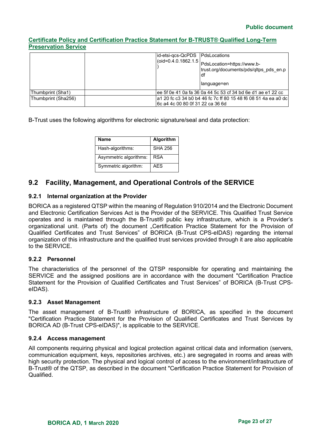|                     | id-etsi-qcs-QcPDS   PdsLocations<br> (oid=0.4.0.1862.1.5  <br> PdsLocation=https://www.b-<br>trust.org/documents/pds/qltps pds en.p<br>df<br>language=en |
|---------------------|----------------------------------------------------------------------------------------------------------------------------------------------------------|
| Thumbprint (Sha1)   | lee 5f 0e 41 0a fa 36 0a 44 5c 53 cf 34 bd 6e d1 ae e1 22 cc                                                                                             |
| Thumbprint (Sha256) | a1 20 fc c3 34 b0 b4 46 fc 7c ff 80 15 48 f6 08 51 4a ea a0 dc                                                                                           |
|                     | 6c a4 4c 00 80 0f 31 22 ca 36 6d                                                                                                                         |

B-Trust uses the following algorithms for electronic signature/seal and data protection:

| Name                   | Algorithm      |
|------------------------|----------------|
| Hash-algorithms:       | <b>SHA 256</b> |
| Asymmetric algorithms: | RSA            |
| Symmetric algorithm:   | AFS            |

# <span id="page-22-0"></span>**9.2 Facility, Management, and Operational Controls of the SERVICE**

#### <span id="page-22-1"></span>**9.2.1 Internal organization at the Provider**

BORICA as a registered QTSP within the meaning of Regulation 910/2014 and the Electronic Document and Electronic Certification Services Act is the Provider of the SERVICE. This Qualified Trust Service operates and is maintained through the B-Trust® public key infrastructure, which is a Provider's organizational unit. (Parts of) the document "Certification Practice Statement for the Provision of Qualified Certificates and Trust Services" of BORICA (B-Trust CPS-eIDAS) regarding the internal organization of this infrastructure and the qualified trust services provided through it are also applicable to the SERVICE.

#### <span id="page-22-2"></span>**9.2.2 Personnel**

The characteristics of the personnel of the QTSP responsible for operating and maintaining the SERVICE and the assigned positions are in accordance with the document "Certification Practice Statement for the Provision of Qualified Certificates and Trust Services" of BORICA (B-Trust CPSeIDAS).

#### <span id="page-22-3"></span>**9.2.3 Asset Management**

The asset management of B-Trust® infrastructure of BORICA, as specified in the document "Certification Practice Statement for the Provision of Qualified Certificates and Trust Services by BORICA AD (B-Trust CPS-eIDAS)", is applicable to the SERVICE.

#### <span id="page-22-4"></span>**9.2.4 Access management**

All components requiring physical and logical protection against critical data and information (servers, communication equipment, keys, repositories archives, etc.) are segregated in rooms and areas with high security protection. The physical and logical control of access to the environment/infrastructure of B-Trust® of the QTSP, as described in the document "Certification Practice Statement for Provision of Qualified.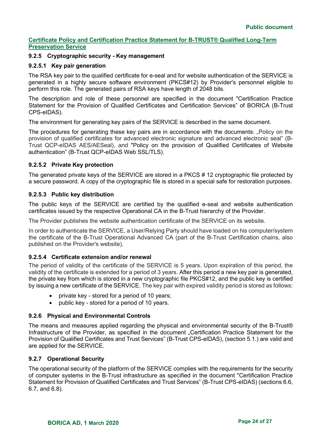# <span id="page-23-0"></span>**9.2.5 Cryptographic security - Key management**

#### <span id="page-23-1"></span>**9.2.5.1 Key pair generation**

The RSA key pair to the qualified certificate for e-seal and for website authentication of the SERVICE is generated in a highly secure software environment (PKCS#12) by Provider's personnel eligible to perform this role. The generated pairs of RSA keys have length of 2048 bits.

The description and role of these personnel are specified in the document "Certification Practice Statement for the Provision of Qualified Certificates and Certification Services" of BORICA (B-Trust CPS-eIDAS).

The environment for generating key pairs of the SERVICE is described in the same document.

The procedures for generating these key pairs are in accordance with the documents: "Policy on the provision of qualified certificates for advanced electronic signature and advanced electronic seal" (B-Trust QCP-eIDAS AES/AESeal), and "Policy on the provision of Qualified Certificates of Website authentication" (B-Trust QCP-eIDAS Web SSL/TLS).

## <span id="page-23-2"></span>**9.2.5.2 Private Key protection**

The generated private keys of the SERVICE are stored in a PKCS # 12 cryptographic file protected by a secure password. A copy of the cryptographic file is stored in a special safe for restoration purposes.

#### <span id="page-23-3"></span>**9.2.5.3 Public key distribution**

The public keys of the SERVICE are certified by the qualified e-seal and website authentication certificates issued by the respective Operational CA in the B-Trust hierarchy of the Provider.

The Provider publishes the website authentication certificate of the SERVICE on its website.

In order to authenticate the SERVICE, a User/Relying Party should have loaded on his computer/system the certificate of the B-Trust Operational Advanced CA (part of the B-Trust Certification chains, also published on the Provider's website).

#### <span id="page-23-4"></span>**9.2.5.4 Certificate extension and/or renewal**

The period of validity of the certificate of the SERVICE is 5 years. Upon expiration of this period, the validity of the certificate is extended for a period of 3 years. After this period a new key pair is generated, the private key from which is stored in a new cryptographic file PKCS#12, and the public key is certified by issuing a new certificate of the SERVICE. The key pair with expired validity period is stored as follows:

- private key stored for a period of 10 years;
- public key stored for a period of 10 years.

## <span id="page-23-5"></span>**9.2.6 Physical and Environmental Controls**

The means and measures applied regarding the physical and environmental security of the B-Trust® Infrastructure of the Provider, as specified in the document "Certification Practice Statement for the Provision of Qualified Certificates and Trust Services" (B-Trust CPS-eIDAS), (section 5.1.) are valid and are applied for the SERVICE.

#### <span id="page-23-6"></span>**9.2.7 Operational Security**

The operational security of the platform of the SERVICE complies with the requirements for the security of computer systems in the B-Trust infrastructure as specified in the document "Certification Practice Statement for Provision of Qualified Certificates and Trust Services" (B-Trust CPS-eIDAS) (sections 6.6, 6.7, and 6.8).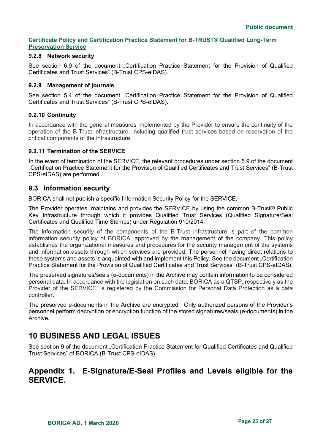# <span id="page-24-0"></span>**9.2.8 Network security**

See section 6.9 of the document "Certification Practice Statement for the Provision of Qualified Certificates and Trust Services" (B-Trust CPS-eIDAS).

## <span id="page-24-1"></span>**9.2.9 Management of journals**

See section 5.4 of the document "Certification Practice Statement for the Provision of Qualified Certificates and Trust Services" (B-Trust CPS-eIDAS).

## <span id="page-24-2"></span>**9.2.10 Continuity**

In accordance with the general measures implemented by the Provider to ensure the continuity of the operation of the B-Trust infrastructure, including qualified trust services based on reservation of the critical components of the infrastructure.

#### <span id="page-24-3"></span>**9.2.11 Termination of the SERVICE**

In the event of termination of the SERVICE, the relevant procedures under section 5.9 of the document "Certification Practice Statement for the Provision of Qualified Certificates and Trust Services" (B-Trust CPS-eIDAS) are performed.

# <span id="page-24-4"></span>**9.3 Information security**

BORICA shall not publish a specific Information Security Policy for the SERVICE.

The Provider operates, maintains and provides the SERVICE by using the common B-Trust® Public Key Infrastructure through which it provides Qualified Trust Services (Qualified Signature/Seal Certificates and Qualified Time Stamps) under Regulation 910/2014.

The information security of the components of the B-Trust infrastructure is part of the common information security policy of BORICA, approved by the management of the company. This policy establishes the organizational measures and procedures for the security management of the systems and information assets through which services are provided. The personnel having direct relations to these systems and assets is acquainted with and implement this Policy. See the document "Certification Practice Statement for the Provision of Qualified Certificates and Trust Services" (B-Trust CPS-eIDAS).

The preserved signatures/seals (e-documents) in the Archive may contain information to be considered personal data. In accordance with the legislation on such data, BORICA as a QTSP, respectively as the Provider of the SERVICE, is registered by the Commission for Personal Data Protection as a data controller.

The preserved e-documents in the Archive are encrypted. Only authorized persons of the Provider's personnel perform decryption or encryption function of the stored signatures/seals (e-documents) in the Archive.

# <span id="page-24-5"></span>**10 BUSINESS AND LEGAL ISSUES**

See section 9 of the document "Certification Practice Statement for Qualified Certificates and Qualified Trust Services" of BORICA (B-Trust CPS-eIDAS).

# <span id="page-24-6"></span>**Appendix 1. E-Signature/E-Seal Profiles and Levels eligible for the SERVICE.**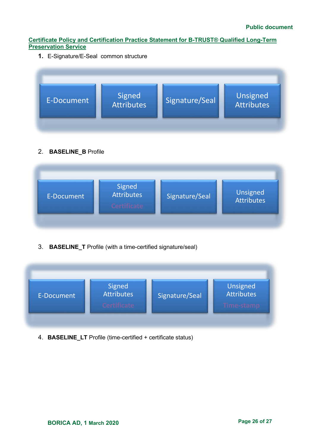**1.** E-Signature/E-Seal common structure



# 2. **BASELINE\_B** Profile

| E-Document | Signed<br>Attributes<br>Certificate | Signature/Seal | Unsigned<br>Attributes |
|------------|-------------------------------------|----------------|------------------------|

3. **BASELINE\_T** Profile (with a time-certified signature/seal)



4. **BASELINE\_LT** Profile (time-certified + certificate status)